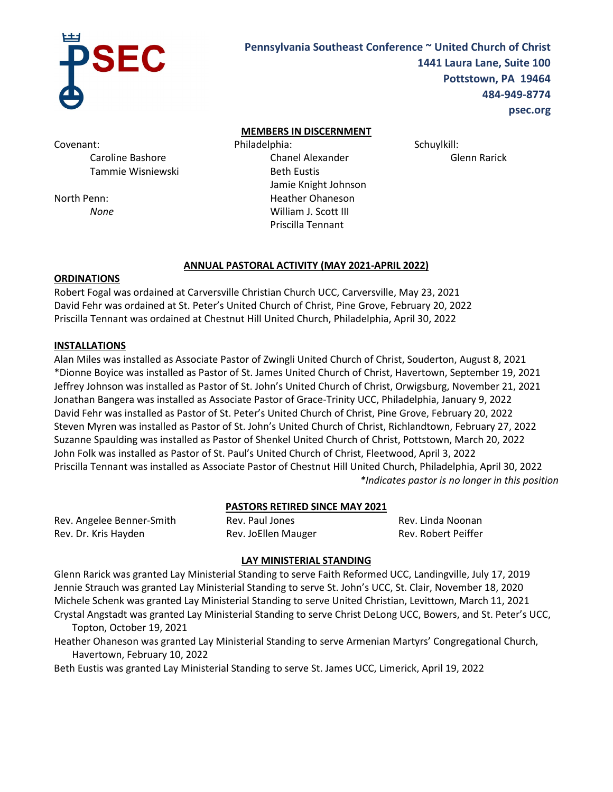

# **Pennsylvania Southeast Conference ~ United Church of Christ 1441 Laura Lane, Suite 100 Pottstown, PA 19464 484-949-8774 psec.org**

Covenant:

Caroline Bashore Tammie Wisniewski

North Penn: *None*

## **MEMBERS IN DISCERNMENT**

Philadelphia: Chanel Alexander Beth Eustis Jamie Knight Johnson Heather Ohaneson William J. Scott III Priscilla Tennant

Schuylkill:

Glenn Rarick

# **ANNUAL PASTORAL ACTIVITY (MAY 2021-APRIL 2022)**

# **ORDINATIONS**

Robert Fogal was ordained at Carversville Christian Church UCC, Carversville, May 23, 2021 David Fehr was ordained at St. Peter's United Church of Christ, Pine Grove, February 20, 2022 Priscilla Tennant was ordained at Chestnut Hill United Church, Philadelphia, April 30, 2022

# **INSTALLATIONS**

Alan Miles was installed as Associate Pastor of Zwingli United Church of Christ, Souderton, August 8, 2021 \*Dionne Boyice was installed as Pastor of St. James United Church of Christ, Havertown, September 19, 2021 Jeffrey Johnson was installed as Pastor of St. John's United Church of Christ, Orwigsburg, November 21, 2021 Jonathan Bangera was installed as Associate Pastor of Grace-Trinity UCC, Philadelphia, January 9, 2022 David Fehr was installed as Pastor of St. Peter's United Church of Christ, Pine Grove, February 20, 2022 Steven Myren was installed as Pastor of St. John's United Church of Christ, Richlandtown, February 27, 2022 Suzanne Spaulding was installed as Pastor of Shenkel United Church of Christ, Pottstown, March 20, 2022 John Folk was installed as Pastor of St. Paul's United Church of Christ, Fleetwood, April 3, 2022 Priscilla Tennant was installed as Associate Pastor of Chestnut Hill United Church, Philadelphia, April 30, 2022 *\*Indicates pastor is no longer in this position*

# **PASTORS RETIRED SINCE MAY 2021**

Rev. Angelee Benner-Smith Rev. Dr. Kris Hayden

Rev. Paul Jones Rev. JoEllen Mauger Rev. Linda Noonan Rev. Robert Peiffer

# **LAY MINISTERIAL STANDING**

Glenn Rarick was granted Lay Ministerial Standing to serve Faith Reformed UCC, Landingville, July 17, 2019 Jennie Strauch was granted Lay Ministerial Standing to serve St. John's UCC, St. Clair, November 18, 2020 Michele Schenk was granted Lay Ministerial Standing to serve United Christian, Levittown, March 11, 2021 Crystal Angstadt was granted Lay Ministerial Standing to serve Christ DeLong UCC, Bowers, and St. Peter's UCC, Topton, October 19, 2021

Heather Ohaneson was granted Lay Ministerial Standing to serve Armenian Martyrs' Congregational Church, Havertown, February 10, 2022

Beth Eustis was granted Lay Ministerial Standing to serve St. James UCC, Limerick, April 19, 2022